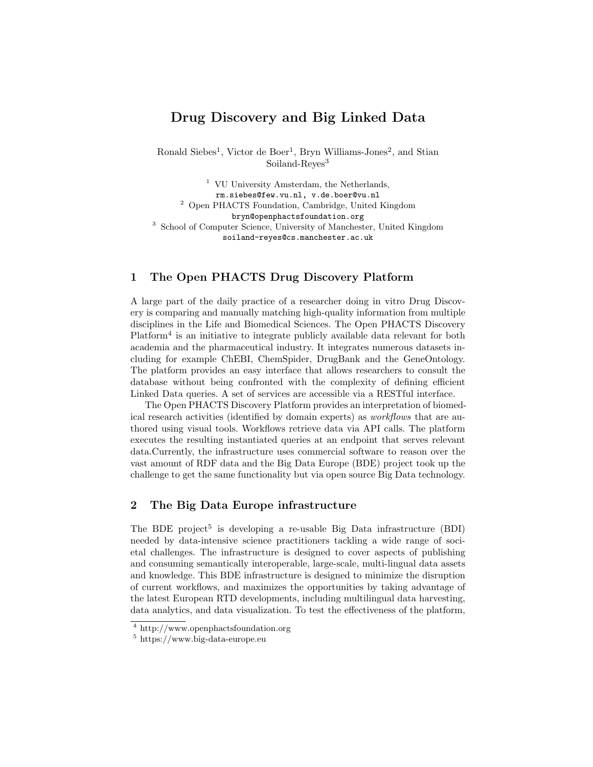## Drug Discovery and Big Linked Data

Ronald Siebes<sup>1</sup>, Victor de Boer<sup>1</sup>, Bryn Williams-Jones<sup>2</sup>, and Stian Soiland-Reyes<sup>3</sup>

<sup>1</sup> VU University Amsterdam, the Netherlands, rm.siebes@few.vu.nl, v.de.boer@vu.nl <sup>2</sup> Open PHACTS Foundation, Cambridge, United Kingdom bryn@openphactsfoundation.org <sup>3</sup> School of Computer Science, University of Manchester, United Kingdom soiland-reyes@cs.manchester.ac.uk

## 1 The Open PHACTS Drug Discovery Platform

A large part of the daily practice of a researcher doing in vitro Drug Discovery is comparing and manually matching high-quality information from multiple disciplines in the Life and Biomedical Sciences. The Open PHACTS Discovery Platform<sup>4</sup> is an initiative to integrate publicly available data relevant for both academia and the pharmaceutical industry. It integrates numerous datasets including for example ChEBI, ChemSpider, DrugBank and the GeneOntology. The platform provides an easy interface that allows researchers to consult the database without being confronted with the complexity of defining efficient Linked Data queries. A set of services are accessible via a RESTful interface.

The Open PHACTS Discovery Platform provides an interpretation of biomedical research activities (identified by domain experts) as *workflows* that are authored using visual tools. Workflows retrieve data via API calls. The platform executes the resulting instantiated queries at an endpoint that serves relevant data.Currently, the infrastructure uses commercial software to reason over the vast amount of RDF data and the Big Data Europe (BDE) project took up the challenge to get the same functionality but via open source Big Data technology.

## 2 The Big Data Europe infrastructure

The BDE project<sup>5</sup> is developing a re-usable Big Data infrastructure (BDI) needed by data-intensive science practitioners tackling a wide range of societal challenges. The infrastructure is designed to cover aspects of publishing and consuming semantically interoperable, large-scale, multi-lingual data assets and knowledge. This BDE infrastructure is designed to minimize the disruption of current workflows, and maximizes the opportunities by taking advantage of the latest European RTD developments, including multilingual data harvesting, data analytics, and data visualization. To test the effectiveness of the platform,

<sup>4</sup> http://www.openphactsfoundation.org

 $5 \text{ https://www.big-data-europe.eu}$